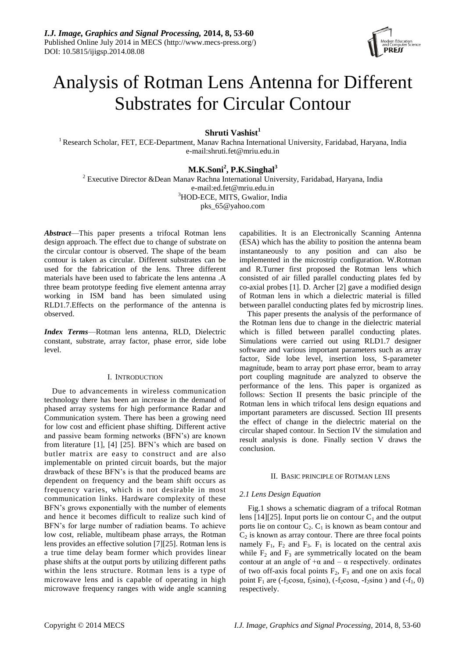

# Analysis of Rotman Lens Antenna for Different Substrates for Circular Contour

**Shruti Vashist<sup>1</sup>**

<sup>1</sup> Research Scholar, FET, ECE-Department, Manay Rachna International University, Faridabad, Haryana, India e-mail:shruti.fet@mriu.edu.in

# **M.K.Soni<sup>2</sup> , P.K.Singhal<sup>3</sup>**

<sup>2</sup> Executive Director &Dean Manav Rachna International University, Faridabad, Haryana, India e-mail:ed.fet@mriu.edu.in <sup>3</sup>HOD-ECE, MITS, Gwalior, India pks\_65@yahoo.com

*Abstract*—This paper presents a trifocal Rotman lens design approach. The effect due to change of substrate on the circular contour is observed. The shape of the beam contour is taken as circular. Different substrates can be used for the fabrication of the lens. Three different materials have been used to fabricate the lens antenna .A three beam prototype feeding five element antenna array working in ISM band has been simulated using RLD1.7.Effects on the performance of the antenna is observed.

*Index Terms*—Rotman lens antenna, RLD, Dielectric constant, substrate, array factor, phase error, side lobe level.

## I. INTRODUCTION

Due to advancements in wireless communication technology there has been an increase in the demand of phased array systems for high performance Radar and Communication system. There has been a growing need for low cost and efficient phase shifting. Different active and passive beam forming networks (BFN's) are known from literature [1], [4] [25]. BFN's which are based on butler matrix are easy to construct and are also implementable on printed circuit boards, but the major drawback of these BFN's is that the produced beams are dependent on frequency and the beam shift occurs as frequency varies, which is not desirable in most communication links. Hardware complexity of these BFN's grows exponentially with the number of elements and hence it becomes difficult to realize such kind of BFN's for large number of radiation beams. To achieve low cost, reliable, multibeam phase arrays, the Rotman lens provides an effective solution [7][25]. Rotman lens is a true time delay beam former which provides linear phase shifts at the output ports by utilizing different paths within the lens structure. Rotman lens is a type of microwave lens and is capable of operating in high microwave frequency ranges with wide angle scanning

capabilities. It is an Electronically Scanning Antenna (ESA) which has the ability to position the antenna beam instantaneously to any position and can also be implemented in the microstrip configuration. W.Rotman and R.Turner first proposed the Rotman lens which consisted of air filled parallel conducting plates fed by co-axial probes [1]. D. Archer [2] gave a modified design of Rotman lens in which a dielectric material is filled between parallel conducting plates fed by microstrip lines.

This paper presents the analysis of the performance of the Rotman lens due to change in the dielectric material which is filled between parallel conducting plates. Simulations were carried out using RLD1.7 designer software and various important parameters such as array factor, Side lobe level, insertion loss, S-parameter magnitude, beam to array port phase error, beam to array port coupling magnitude are analyzed to observe the performance of the lens. This paper is organized as follows: Section II presents the basic principle of the Rotman lens in which trifocal lens design equations and important parameters are discussed. Section III presents the effect of change in the dielectric material on the circular shaped contour. In Section IV the simulation and result analysis is done. Finally section V draws the conclusion.

## II. BASIC PRINCIPLE OF ROTMAN LENS

## *2.1 Lens Design Equation*

Fig.1 shows a schematic diagram of a trifocal Rotman lens [14][25]. Input ports lie on contour  $C_1$  and the output ports lie on contour  $C_2$ .  $C_1$  is known as beam contour and  $C<sub>2</sub>$  is known as array contour. There are three focal points namely  $F_1$ ,  $F_2$  and  $F_3$ .  $F_1$  is located on the central axis while  $F_2$  and  $F_3$  are symmetrically located on the beam contour at an angle of  $+\alpha$  and  $-\alpha$  respectively. ordinates of two off-axis focal points  $F_2$ ,  $F_3$  and one on axis focal point  $F_1$  are (-f<sub>2</sub>cosα, f<sub>2</sub>sinα), (-f<sub>2</sub>cosα, -f<sub>2</sub>sinα) and (-f<sub>1</sub>, 0) respectively.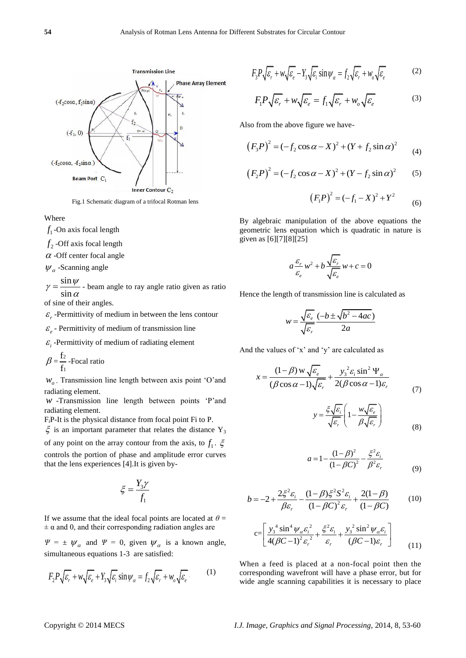

Fig.1 Schematic diagram of a trifocal Rotman lens

Where

 $f_1$ -On axis focal length

 $f_2$  -Off axis focal length

 $\alpha$  -Off center focal angle

 $\psi_{\alpha}$ -Scanning angle

sin sin  $\gamma = \frac{\sin \psi}{\sin \alpha}$  - beam angle to ray angle ratio given as ratio

of sine of their angles.

 $\varepsilon$ <sub>r</sub> -Permittivity of medium in between the lens contour

 $\varepsilon_e$  - Permittivity of medium of transmission line

 $\varepsilon$ <sub>i</sub> -Permittivity of medium of radiating element

$$
\beta = \frac{f_2}{f_1}
$$
-Focal ratio

 $W_{\alpha}$ . Transmission line length between axis point 'O'and radiating element.

*w* -Transmission line length between points 'P'and radiating element.

FiP-It is the physical distance from focal point Fi to P.

 $\xi$  is an important parameter that relates the distance Y<sub>3</sub> of any point on the array contour from the axis, to  $f_1$ .  $\xi$ controls the portion of phase and amplitude error curves that the lens experiences [4].It is given by-

$$
\xi = \frac{Y_3 \gamma}{f_1}
$$

If we assume that the ideal focal points are located at  $\theta =$  $\pm \alpha$  and 0, and their corresponding radiation angles are

 $\Psi = \pm \psi_{\alpha}$  and  $\Psi = 0$ , given  $\psi_{\alpha}$  is a known angle, simultaneous equations 1-3 are satisfied:

$$
F_2 P \sqrt{\varepsilon_r} + w \sqrt{\varepsilon_e} + Y_3 \sqrt{\varepsilon_i} \sin \psi_\alpha = f_2 \sqrt{\varepsilon_r} + w_o \sqrt{\varepsilon_e}.
$$
 (1)

$$
F_3 P \sqrt{\varepsilon_r} + w \sqrt{\varepsilon_e} - Y_3 \sqrt{\varepsilon_i} \sin \psi_\alpha = f_2 \sqrt{\varepsilon_r} + w_o \sqrt{\varepsilon_e}
$$
 (2)

$$
F_1 P \sqrt{\varepsilon_r} + w \sqrt{\varepsilon_e} = f_1 \sqrt{\varepsilon_r} + w_o \sqrt{\varepsilon_e}
$$
 (3)

Also from the above figure we have-

$$
(F_3 P)^2 = (-f_2 \cos \alpha - X)^2 + (Y + f_2 \sin \alpha)^2
$$
 (4)

$$
(F_2P)^2 = (-f_2 \cos \alpha - X)^2 + (Y - f_2 \sin \alpha)^2
$$
 (5)

$$
(F_1P)^2 = (-f_1 - X)^2 + Y^2 \tag{6}
$$

By algebraic manipulation of the above equations the geometric lens equation which is quadratic in nature is given as [6][7][8][25]

$$
a\frac{\varepsilon_r}{\varepsilon_e}w^2 + b\frac{\sqrt{\varepsilon_r}}{\sqrt{\varepsilon_e}}w + c = 0
$$

Hence the length of transmission line is calculated as

$$
w = \frac{\sqrt{\varepsilon_e}}{\sqrt{\varepsilon_r}} \frac{(-b \pm \sqrt{b^2 - 4ac})}{2a}
$$

And the values of  $x'$  and  $y'$  are calculated as

$$
x = \frac{(1-\beta) w \sqrt{\varepsilon_{e}}}{(\beta \cos \alpha - 1) \sqrt{\varepsilon_{r}}} + \frac{y_{3}^{2} \varepsilon_{i} \sin^{2} \Psi_{\alpha}}{2(\beta \cos \alpha - 1) \varepsilon_{r}}
$$
(7)

$$
y = \frac{\xi \sqrt{\varepsilon_i}}{\sqrt{\varepsilon_r}} \left( 1 - \frac{w \sqrt{\varepsilon_e}}{\beta \sqrt{\varepsilon_r}} \right)
$$
 (8)

$$
a = 1 - \frac{(1 - \beta)^2}{(1 - \beta C)^2} - \frac{\xi^2 \varepsilon_i}{\beta^2 \varepsilon_r}
$$
 (9)

$$
b = -2 + \frac{2\xi^2 \varepsilon_i}{\beta \varepsilon_r} - \frac{(1 - \beta)\xi^2 S^2 \varepsilon_i}{(1 - \beta C)^2 \varepsilon_r} + \frac{2(1 - \beta)}{(1 - \beta C)}
$$
(10)

$$
c = \left[ \frac{y_3^4 \sin^4 \psi_\alpha \varepsilon_i^2}{4(\beta C - 1)^2 \varepsilon_r^2} + \frac{\xi^2 \varepsilon_i}{\varepsilon_r} + \frac{y_3^2 \sin^2 \psi_\alpha \varepsilon_i}{(\beta C - 1) \varepsilon_r} \right]
$$
(11)

When a feed is placed at a non-focal point then the corresponding wavefront will have a phase error, but for wide angle scanning capabilities it is necessary to place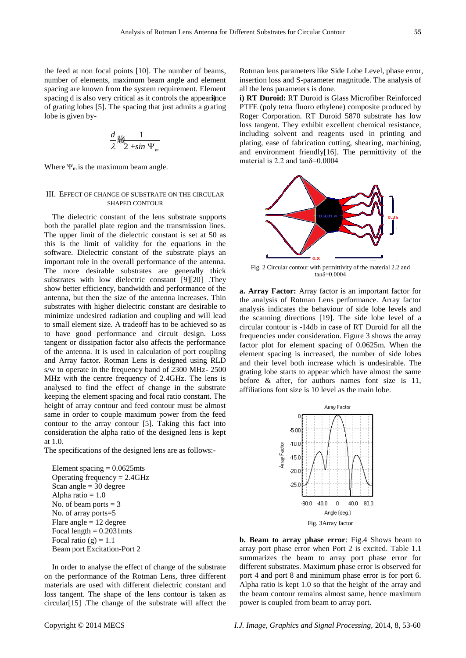the feed at non focal points [10]. The number of beams, number of elements, maximum beam angle and element spacing are known from the system requirement. Element spacing d is also very critical as it controls the appearince of grating lobes [5]. The spacing that just admits a grating lobe is given by-

$$
\frac{d}{\lambda} \frac{1}{\sum_{m=1}^{\infty} 2 + \sin \Psi_m}
$$

Where  $\Psi_m$  is the maximum beam angle.

#### III. EFFECT OF CHANGE OF SUBSTRATE ON THE CIRCULAR SHAPED CONTOUR

The dielectric constant of the lens substrate supports both the parallel plate region and the transmission lines. The upper limit of the dielectric constant is set at 50 as this is the limit of validity for the equations in the software. Dielectric constant of the substrate plays an important role in the overall performance of the antenna. The more desirable substrates are generally thick substrates with low dielectric constant [9][20] .They show better efficiency, bandwidth and performance of the antenna, but then the size of the antenna increases. Thin substrates with higher dielectric constant are desirable to minimize undesired radiation and coupling and will lead to small element size. A tradeoff has to be achieved so as to have good performance and circuit design. Loss tangent or dissipation factor also affects the performance of the antenna. It is used in calculation of port coupling and Array factor. Rotman Lens is designed using RLD s/w to operate in the frequency band of 2300 MHz- 2500 MHz with the centre frequency of 2.4GHz. The lens is analysed to find the effect of change in the substrate keeping the element spacing and focal ratio constant. The height of array contour and feed contour must be almost same in order to couple maximum power from the feed contour to the array contour [5]. Taking this fact into consideration the alpha ratio of the designed lens is kept at 1.0.

The specifications of the designed lens are as follows:-

Element spacing  $= 0.0625$ mts Operating frequency = 2.4GHz Scan angle = 30 degree Alpha ratio  $= 1.0$ No. of beam ports  $= 3$ No. of array ports=5 Flare angle  $= 12$  degree Focal length  $= 0.2031$  mts Focal ratio  $(g) = 1.1$ Beam port Excitation-Port 2

In order to analyse the effect of change of the substrate on the performance of the Rotman Lens, three different materials are used with different dielectric constant and loss tangent. The shape of the lens contour is taken as circular[15] .The change of the substrate will affect the Rotman lens parameters like Side Lobe Level, phase error, insertion loss and S-parameter magnitude. The analysis of all the lens parameters is done.

**i) i) RT Duroid:** RT Duroid is Glass Microfiber Reinforced PTFE (poly tetra fluoro ethylene) composite produced by Roger Corporation. RT Duroid 5870 substrate has low loss tangent. They exhibit excellent chemical resistance, including solvent and reagents used in printing and plating, ease of fabrication cutting, shearing, machining, and environment friendly[16]. The permittivity of the material is 2.2 and  $tan\delta = 0.0004$ 



Fig. 2 Circular contour with permittivity of the material 2.2 and  $tan\delta=0.0004$ 

**a. Array Factor:** Array factor is an important factor for the analysis of Rotman Lens performance. Array factor analysis indicates the behaviour of side lobe levels and the scanning directions [19]. The side lobe level of a circular contour is -14db in case of RT Duroid for all the frequencies under consideration. Figure 3 shows the array factor plot for element spacing of 0.0625m*.* When the element spacing is increased, the number of side lobes and their level both increase which is undesirable. The grating lobe starts to appear which have almost the same before & after, for authors names font size is 11, affiliations font size is 10 level as the main lobe.



**b. Beam to array phase error**: Fig.4 Shows beam to array port phase error when Port 2 is excited. Table 1.1 summarizes the beam to array port phase error for different substrates. Maximum phase error is observed for port 4 and port 8 and minimum phase error is for port 6. Alpha ratio is kept 1.0 so that the height of the array and the beam contour remains almost same, hence maximum power is coupled from beam to array port.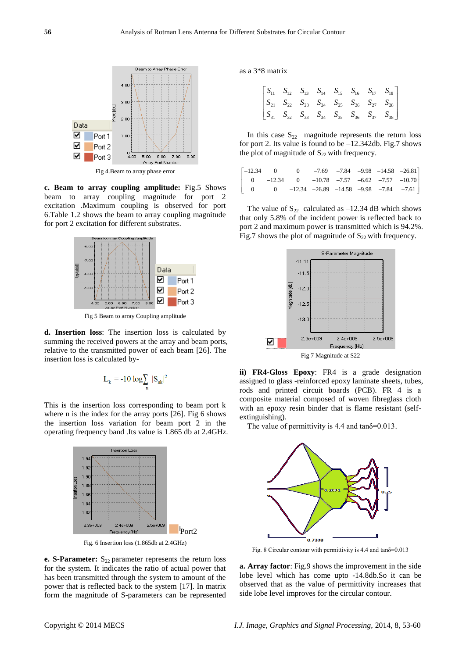

**c. Beam to array coupling amplitude:** Fig.5 Shows beam to array coupling magnitude for port 2 excitation .Maximum coupling is observed for port 6.Table 1.2 shows the beam to array coupling magnitude for port 2 excitation for different substrates.



Fig 5 Beam to array Coupling amplitude

**d. Insertion loss**: The insertion loss is calculated by summing the received powers at the array and beam ports, relative to the transmitted power of each beam [26]. The insertion loss is calculated by-

$$
L_{k} = -10 \log \sum_{n} |S_{nk}|^{2}
$$

This is the insertion loss corresponding to beam port k where n is the index for the array ports [26]. Fig 6 shows the insertion loss variation for beam port 2 in the operating frequency band .Its value is 1.865 db at 2.4GHz.



Fig. 6 Insertion loss (1.865db at 2.4GHz)

**e. S-Parameter:**  $S_{22}$  parameter represents the return loss for the system. It indicates the ratio of actual power that has been transmitted through the system to amount of the power that is reflected back to the system [17]. In matrix form the magnitude of S-parameters can be represented as a 3\*8 matrix

|  |  |  | $\begin{bmatrix} S_{11} & S_{12} & S_{13} & S_{14} & S_{15} & S_{16} & S_{17} & S_{18} \ S_{21} & S_{22} & S_{23} & S_{24} & S_{25} & S_{26} & S_{27} & S_{28} \ S_{31} & S_{32} & S_{33} & S_{34} & S_{35} & S_{36} & S_{37} & S_{38} \end{bmatrix}$ |  |
|--|--|--|-------------------------------------------------------------------------------------------------------------------------------------------------------------------------------------------------------------------------------------------------------|--|

In this case  $S_{22}$  magnitude represents the return loss for port 2. Its value is found to be  $-12.342$ db. Fig.7 shows

| the plot of magnitude of $S_{22}$ with frequency.                                        |  |  |  |  |  |  |  |
|------------------------------------------------------------------------------------------|--|--|--|--|--|--|--|
| $\begin{bmatrix} -12.34 & 0 & 0 & -7.69 & -7.84 & -9.98 & -14.58 & -26.81 \end{bmatrix}$ |  |  |  |  |  |  |  |
| $\begin{vmatrix} 0 & -12.34 & 0 & -10.78 & -7.57 & -6.62 & -7.57 & -10.70 \end{vmatrix}$ |  |  |  |  |  |  |  |
| $\begin{vmatrix} 0 & 0 & -12.34 & -26.89 & -14.58 & -9.98 & -7.84 & -7.61 \end{vmatrix}$ |  |  |  |  |  |  |  |
|                                                                                          |  |  |  |  |  |  |  |

The value of  $S_{22}$  calculated as -12.34 dB which shows that only 5.8% of the incident power is reflected back to port 2 and maximum power is transmitted which is 94.2%. Fig.7 shows the plot of magnitude of  $S_{22}$  with frequency.



**ii) FR4-Gloss Epoxy**: FR4 is a grade designation assigned to glass -reinforced epoxy laminate sheets, tubes, rods and printed circuit boards (PCB). FR 4 is a composite material composed of woven fibreglass cloth with an epoxy resin binder that is flame resistant (selfextinguishing).

The value of permittivity is 4.4 and  $tan\delta = 0.013$ .



Fig. 8 Circular contour with permittivity is 4.4 and tanδ=0.013

**a. Array factor**: Fig.9 shows the improvement in the side lobe level which has come upto -14.8db.So it can be observed that as the value of permittivity increases that side lobe level improves for the circular contour.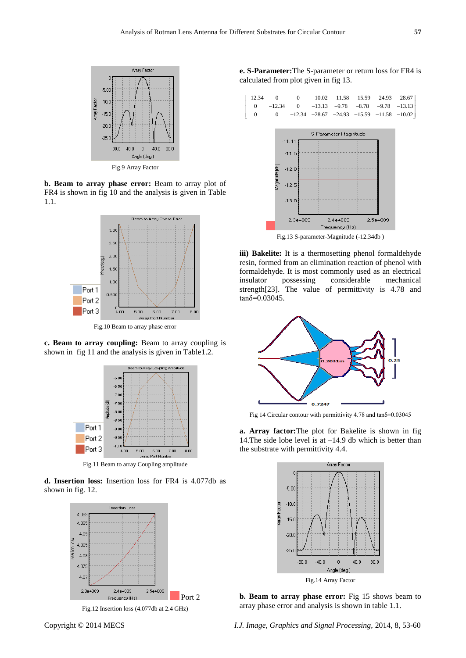

Fig.9 Array Factor

**b. Beam to array phase error:** Beam to array plot of FR4 is shown in fig 10 and the analysis is given in Table 1.1.



Fig.10 Beam to array phase error

**c. Beam to array coupling:** Beam to array coupling is shown in fig 11 and the analysis is given in Table1.2.



Fig.11 Beam to array Coupling amplitude

**d. Insertion loss:** Insertion loss for FR4 is 4.077db as shown in fig. 12.



Fig.12 Insertion loss (4.077db at 2.4 GHz)

**e. S-Parameter:**The S-parameter or return loss for FR4 is





Fig.13 S-parameter-Magnitude (-12.34db )

**iii) Bakelite:** It is a thermosetting phenol formaldehyde resin, formed from an elimination reaction of phenol with formaldehyde. It is most commonly used as an electrical insulator possessing considerable mechanical strength[23]. The value of permittivity is 4.78 and tanδ=0.03045.



Fig 14 Circular contour with permittivity 4.78 and tanδ=0.03045

**a. Array factor:**The plot for Bakelite is shown in fig 14.The side lobe level is at –14.9 db which is better than the substrate with permittivity 4.4.



**b. Beam to array phase error:** Fig 15 shows beam to array phase error and analysis is shown in table 1.1.

Copyright © 2014 MECS *I.J. Image, Graphics and Signal Processing,* 2014, 8, 53-60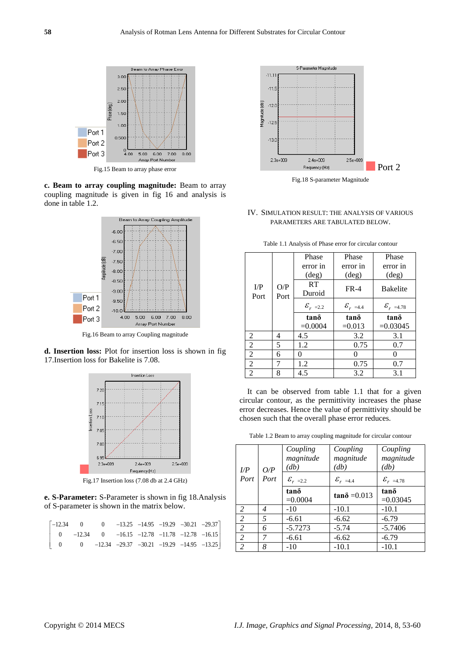

**c. Beam to array coupling magnitude:** Beam to array coupling magnitude is given in fig 16 and analysis is done in table 1.2.



Fig.16 Beam to array Coupling magnitude

**d. Insertion loss:** Plot for insertion loss is shown in fig 17.Insertion loss for Bakelite is 7.08.



Fig.17 Insertion loss (7.08 db at 2.4 GHz)

**e. S-Parameter:** S-Parameter is shown in fig 18.Analysis

| of S-parameter is shown in the matrix below. |  |  |  |                                                                                             |  |
|----------------------------------------------|--|--|--|---------------------------------------------------------------------------------------------|--|
|                                              |  |  |  |                                                                                             |  |
|                                              |  |  |  | $\begin{bmatrix} -12.34 & 0 & 0 & -13.25 & -14.95 & -19.29 & -30.21 & -29.37 \end{bmatrix}$ |  |
| $\overline{0}$                               |  |  |  | $-12.34$ 0 $-16.15$ $-12.78$ $-11.78$ $-12.78$ $-16.15$                                     |  |
|                                              |  |  |  | 0 0 $-12.34$ $-29.37$ $-30.21$ $-19.29$ $-14.95$ $-13.25$                                   |  |
|                                              |  |  |  |                                                                                             |  |



Fig.18 S-parameter Magnitude

IV. SIMULATION RESULT: THE ANALYSIS OF VARIOUS PARAMETERS ARE TABULATED BELOW.

|                      |             | Phase                  | Phase               | Phase                |
|----------------------|-------------|------------------------|---------------------|----------------------|
|                      |             | error in               | error in            | error in             |
|                      |             | $(\text{deg})$         | $(\text{deg})$      | $(\text{deg})$       |
| $_{\rm I/P}$<br>Port | O/P<br>Port | RT<br>Duroid           | $FR-4$              | <b>Bakelite</b>      |
|                      |             | $\mathcal{E}_{r}$ =2.2 | ${\cal E}_{r}$ =4.4 | ${\cal E}_{r}$ =4.78 |
|                      |             | tanδ                   | tanδ                | tano                 |
|                      |             | $=0.0004$              | $=0.013$            | $=0.03045$           |
| 2                    | 4           | 4.5                    | 3.2                 | 3.1                  |
| 2                    | 5           | 1.2                    | 0.75                | 0.7                  |
| 2                    | 6           | 0                      | 0                   | 0                    |
| $\overline{2}$       | 7           | 1.2                    | 0.75                | 0.7                  |
| $\overline{2}$       | 8           | 4.5                    | 3.2                 | 3.1                  |

Table 1.1 Analysis of Phase error for circular contour

It can be observed from table 1.1 that for a given circular contour, as the permittivity increases the phase error decreases. Hence the value of permittivity should be chosen such that the overall phase error reduces.

Table 1.2 Beam to array coupling magnitude for circular contour

| L/P                      | O/P            | Coupling<br>magnitude<br>(db) | Coupling<br>magnitude<br>(db) | Coupling<br>magnitude<br>$\left( db\right)$ |
|--------------------------|----------------|-------------------------------|-------------------------------|---------------------------------------------|
| Port                     | Port           | $\mathcal{E}_{r}$ =2.2        | ${\cal E}_{r=4.4}$            | ${\cal E}_{r=4.78}$                         |
|                          |                | tano<br>$=0.0004$             | $tan\delta = 0.013$           | tano<br>$=0.03045$                          |
| $\mathcal{L}$            | 4              | $-10$                         | $-10.1$                       | $-10.1$                                     |
| $\mathcal{L}$            | $\overline{5}$ | $-6.61$                       | $-6.62$                       | $-6.79$                                     |
| $\overline{\mathcal{L}}$ | 6              | $-5.7273$                     | $-5.74$                       | $-5.7406$                                   |
| $\overline{\mathcal{L}}$ | 7              | $-6.61$                       | $-6.62$                       | $-6.79$                                     |
| $\overline{2}$           | 8              | $-10$                         | $-10.1$                       | $-10.1$                                     |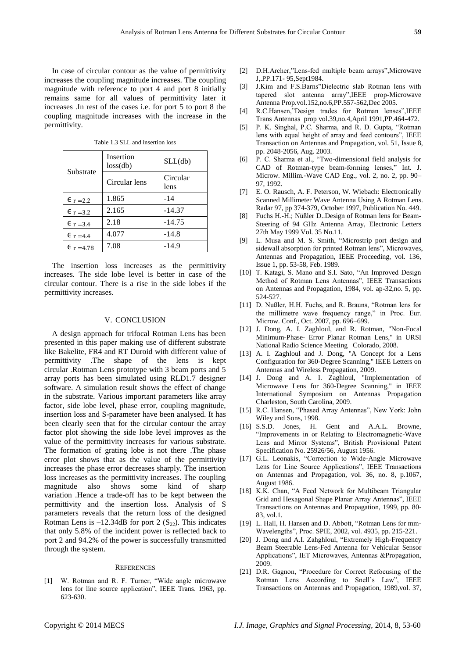In case of circular contour as the value of permittivity increases the coupling magnitude increases. The coupling magnitude with reference to port 4 and port 8 initially remains same for all values of permittivity later it increases .In rest of the cases i.e. for port 5 to port 8 the coupling magnitude increases with the increase in the permittivity.

| Substrate          | Insertion<br>loss(db) | SLL(db)          |
|--------------------|-----------------------|------------------|
|                    | Circular lens         | Circular<br>lens |
| $E_r = 2.2$        | 1.865                 | -14              |
| $E = 3.2$          | 2.165                 | $-14.37$         |
| $\epsilon$ r = 3.4 | 2.18                  | $-14.75$         |
| $E_r = 4.4$        | 4.077                 | $-14.8$          |
| $E_{r=4.78}$       | 7.08                  | $-14.9$          |

Table 1.3 SLL and insertion loss

The insertion loss increases as the permittivity increases. The side lobe level is better in case of the circular contour. There is a rise in the side lobes if the permittivity increases.

#### V. CONCLUSION

A design approach for trifocal Rotman Lens has been presented in this paper making use of different substrate like Bakelite, FR4 and RT Duroid with different value of permittivity .The shape of the lens is kept circular .Rotman Lens prototype with 3 beam ports and 5 array ports has been simulated using RLD1.7 designer software. A simulation result shows the effect of change in the substrate. Various important parameters like array factor, side lobe level, phase error, coupling magnitude, insertion loss and S-parameter have been analysed. It has been clearly seen that for the circular contour the array factor plot showing the side lobe level improves as the value of the permittivity increases for various substrate. The formation of grating lobe is not there .The phase error plot shows that as the value of the permittivity increases the phase error decreases sharply. The insertion loss increases as the permittivity increases. The coupling magnitude also shows some kind of sharp variation .Hence a trade-off has to be kept between the permittivity and the insertion loss. Analysis of S parameters reveals that the return loss of the designed Rotman Lens is  $-12.34$ dB for port 2 (S<sub>22</sub>). This indicates that only 5.8% of the incident power is reflected back to port 2 and 94.2% of the power is successfully transmitted through the system.

#### **REFERENCES**

[1] W. Rotman and R. F. Turner, "Wide angle microwave lens for line source application", IEEE Trans. 1963, pp. 623-630.

- [2] D.H.Archer,"Lens-fed multiple beam arrays".Microwave J,.PP.171- 95,Sept1984.
- [3] J.Kim and F.S.Barns"Dielectric slab Rotman lens with tapered slot antenna array",IEEE prop-Microwave Antenna Prop.vol.152,no.6,PP.557-562,Dec 2005.
- [4] R.C.Hansen,"Design trades for Rotman lenses", IEEE Trans Antennas prop vol.39,no.4,April 1991,PP.464-472.
- [5] P. K. Singhal, P.C. Sharma, and R. D. Gupta, "Rotman lens with equal height of array and feed contours", IEEE Transaction on Antennas and Propagation, vol. 51, Issue 8, pp. 2048-2056, Aug. 2003.
- [6] P. C. Sharma et al., "Two-dimensional field analysis for CAD of Rotman-type beam-forming lenses," Int. J. Microw. Millim.-Wave CAD Eng., vol. 2, no. 2, pp. 90– 97, 1992.
- [7] E. O. Rausch, A. F. Peterson, W. Wiebach: Electronically Scanned Millimeter Wave Antenna Using A Rotman Lens. Radar 97, pp 374-379, October 1997, Publication No. 449.
- [8] Fuchs H.-H.; Nüßler D..Design of Rotman lens for Beam-Steering of 94 GHz Antenna Array, Electronic Letters 27th May 1999 Vol. 35 No.11.
- [9] L. Musa and M. S. Smith, "Microstrip port design and sidewall absorption for printed Rotman lens", Microwaves, Antennas and Propagation, IEEE Proceeding, vol. 136, Issue 1, pp. 53-58, Feb. 1989.
- [10] T. Katagi, S. Mano and S.I. Sato, "An Improved Design Method of Rotman Lens Antennas", IEEE Transactions on Antennas and Propagation, 1984, vol. ap-32,no. 5, pp. 524-527.
- [11] D. Nußler, H.H. Fuchs, and R. Brauns, "Rotman lens for the millimetre wave frequency range," in Proc. Eur. Microw. Conf., Oct. 2007, pp. 696–699.
- [12] J. Dong, A. I. Zaghloul, and R. Rotman, "Non-Focal Minimum-Phase- Error Planar Rotman Lens," in URSI National Radio Science Meeting Colorado, 2008.
- [13] A. I. Zaghloul and J. Dong, "A Concept for a Lens Configuration for 360-Degree Scanning," IEEE Letters on Antennas and Wireless Propagation, 2009.
- [14] J. Dong and A. I. Zaghloul, "Implementation of Microwave Lens for 360-Degree Scanning," in IEEE International Symposium on Antennas Propagation Charleston, South Carolina, 2009.
- [15] R.C. Hansen, "Phased Array Antennas", New York: John Wiley and Sons, 1998.
- [16] S.S.D. Jones, H. Gent and A.A.L. Browne, ―Improvements in or Relating to Electromagnetic-Wave Lens and Mirror Systems", British Provisional Patent Specification No. 25926/56, August 1956.
- [17] G.L. Leonakis, "Correction to Wide-Angle Microwave Lens for Line Source Applications", IEEE Transactions on Antennas and Propagation, vol. 36, no. 8, p.1067, August 1986.
- [18] K.K. Chan, "A Feed Network for Multibeam Triangular Grid and Hexagonal Shape Planar Array Antennas", IEEE Transactions on Antennas and Propagation, 1999, pp. 80- 83, vol.1.
- [19] L. Hall, H. Hansen and D. Abbott, "Rotman Lens for mm-Wavelengths‖, Proc. SPIE, 2002, vol. 4935, pp. 215-221.
- [20] J. Dong and A.I. Zahghloul, "Extremely High-Frequency" Beam Steerable Lens-Fed Antenna for Vehicular Sensor Applications", IET Microwaves, Antennas &Propagation, 2009.
- [21] D.R. Gagnon, "Procedure for Correct Refocusing of the Rotman Lens According to Snell's Law", IEEE Transactions on Antennas and Propagation, 1989,vol. 37,